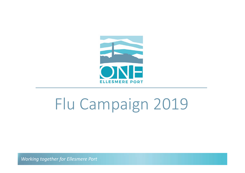

# Flu Campaign 2019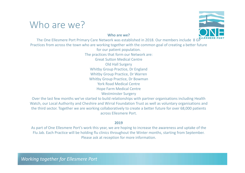## Who are we?

### Who are we?



The One Ellesmere Port Primary Care Network was established in 2018. Our members include 8 GPLLESME Practices from across the town who are working together with the common goal of creating a better future for our patient population. The practices that form our Network are: Great Sutton Medical Centre Old Hall Surgery Whitby Group Practice, Dr England Whitby Group Practice, Dr Warren Whitby Group Practice, Dr Bowman York Road Medical Centre Hope Farm Medical Centre Westminster Surgery Over the last few months we've started to build relationships with partner organisations including Health The One Ellesmere Port Primary Care Network was established in 2018. Our members include  $8 \text{ G}^{\text{BUESMERE Poart}}$ <br>
for our patient population.<br>
The practices that form our Network are:<br>
The practices that form our Network are

Watch, our Local Authority and Cheshire and Wirral Foundation Trust as well as voluntary organisations and across Ellesmere Port.

### 2019

As part of One Ellesmere Port's work this year, we are hoping to increase the awareness and uptake of the Flu Jab. Each Practice will be holding flu clinics throughout the Winter months, starting from September. Please ask at reception for more information.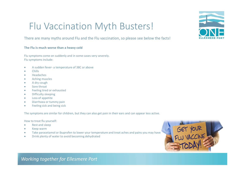# Flu Vaccination Myth Busters! FIU Vaccination Myth Busters<br>There are many myths around Flu and the Flu vaccination, so please see bel<br>The Flu is much worse than a heavy cold<br>Flu symptoms come on suddenly and in some cases very severely.<br>Flu symptoms in

### There are many myths around Flu and the Flu vaccination, so please see below the facts!

#### The Flu is much worse than a heavy cold

Flu symptoms come on suddenly and in some cases very severely. Flu symptoms include:

- 
- Chills
- Headaches
- Aching muscles
- A dry cough
- Sore throat
- Feeling tired or exhausted
- **•** Difficulty sleeping
- Loss of appetite
- Diarrhoea or tummy pain
- Feeling sick and being sick

The symptoms are similar for children, but they can also get pain in their ears and can appear less active.

How to treat flu yourself:

- Rest and sleep
- Keep warm
- Take paracetamol or ibuprofen to lower your temperature and treat aches and pains you may have
- Drink plenty of water to avoid becoming dehydrated



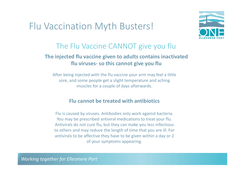## Flu Vaccination Myth Busters!



### The Flu Vaccine CANNOT give you flu

# The injected flu vaccine given to adults contains inactivated ation Myth Busters!<br>Flu Vaccine CANNOT give you flu<br>d flu vaccine given to adults contains inactivated<br>flu viruses- so this cannot give you flu<br>g injected with the flu vaccine your arm may feel a little<br>nd some people get

After being injected with the flu vaccine your arm may feel a little sore, and some people get a slight temperature and aching muscles for a couple of days afterwards.

### Flu cannot be treated with antibiotics

Flu is caused by viruses. Antibodies only work against bacteria. You may be prescribed antiviral medications to treat your flu. Antivirals do not cure flu, but they can make you less infectious to others and may reduce the length of time that you are ill. For antivirals to be affective they have to be given within a day or 2 of your symptoms appearing.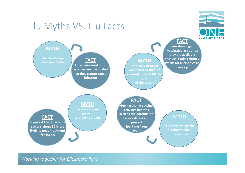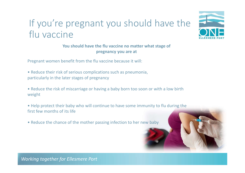# If you're pregnant you should have the flu vaccine



You should have the flu vaccine no matter what stage of pregnancy you are at

Pregnant women benefit from the flu vaccine because it will:

- Reduce their risk of serious complications such as pneumonia, particularly in the later stages of pregnancy
- Reduce the risk of miscarriage or having a baby born too soon or with a low birth weight

• Help protect their baby who will continue to have some immunity to flu during the first few months of its life

• Reduce the chance of the mother passing infection to her new baby